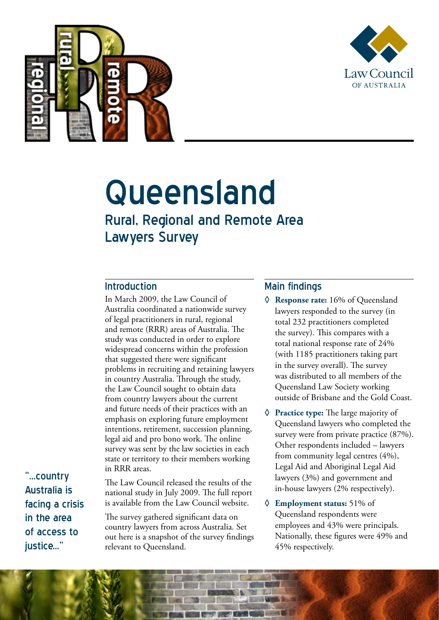



# Queensland

## Rural, Regional and Remote Area Lawyers Survey

#### Introduction

In March 2009, the Law Council of Australia coordinated a nationwide survey of legal practitioners in rural, regional and remote (RRR) areas of Australia. The study was conducted in order to explore widespread concerns within the profession that suggested there were significant problems in recruiting and retaining lawyers in country Australia. Through the study, the Law Council sought to obtain data from country lawyers about the current and future needs of their practices with an emphasis on exploring future employment intentions, retirement, succession planning, legal aid and pro bono work. The online survey was sent by the law societies in each state or territory to their members working in RRR areas.

"...country Australia is facing a crisis in the area of access to justice..."

The Law Council released the results of the national study in July 2009. The full report is available from the Law Council website.

The survey gathered significant data on country lawyers from across Australia. Set out here is a snapshot of the survey findings relevant to Queensland.

#### Main findings

- **◊ Response rate:** 16% of Queensland lawyers responded to the survey (in total 232 practitioners completed the survey). This compares with a total national response rate of 24% (with 1185 practitioners taking part in the survey overall). The survey was distributed to all members of the Queensland Law Society working outside of Brisbane and the Gold Coast.
- **◊ Practice type:** The large majority of Queensland lawyers who completed the survey were from private practice (87%). Other respondents included – lawyers from community legal centres (4%), Legal Aid and Aboriginal Legal Aid lawyers (3%) and government and in-house lawyers (2% respectively).
- **◊ Employment status:** 51% of Queensland respondents were employees and 43% were principals. Nationally, these figures were 49% and 45% respectively.